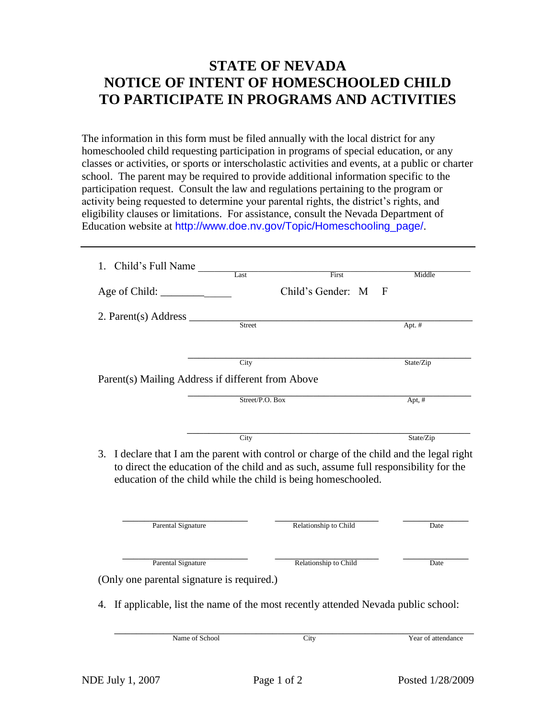## **STATE OF NEVADA NOTICE OF INTENT OF HOMESCHOOLED CHILD TO PARTICIPATE IN PROGRAMS AND ACTIVITIES**

The information in this form must be filed annually with the local district for any homeschooled child requesting participation in programs of special education, or any classes or activities, or sports or interscholastic activities and events, at a public or charter school. The parent may be required to provide additional information specific to the participation request. Consult the law and regulations pertaining to the program or activity being requested to determine your parental rights, the district's rights, and eligibility clauses or limitations. For assistance, consult the Nevada Department of Education website at http://www.doe.nv.gov/Topic/Homeschooling\_page/.

| 1. Child's Full Name                              | Last   | First                                                                                                                                                                                                                                           | Middle    |
|---------------------------------------------------|--------|-------------------------------------------------------------------------------------------------------------------------------------------------------------------------------------------------------------------------------------------------|-----------|
| Age of Child: $\frac{\phantom{1}}{\phantom{1}}$   |        | Child's Gender: M                                                                                                                                                                                                                               | F         |
| 2. Parent(s) Address                              | Street |                                                                                                                                                                                                                                                 | Apt. #    |
| Parent(s) Mailing Address if different from Above | City   |                                                                                                                                                                                                                                                 | State/Zip |
| Street/P.O. Box                                   |        |                                                                                                                                                                                                                                                 | Apt, $#$  |
| 3.                                                | City   | I declare that I am the parent with control or charge of the child and the legal right<br>to direct the education of the child and as such, assume full responsibility for the<br>education of the child while the child is being homeschooled. | State/Zip |
| <b>Parental Signature</b>                         |        | Relationship to Child                                                                                                                                                                                                                           | Date      |
|                                                   |        | Relationship to Child                                                                                                                                                                                                                           |           |
| <b>Parental Signature</b>                         |        |                                                                                                                                                                                                                                                 | Date      |
| (Only one parental signature is required.)        |        |                                                                                                                                                                                                                                                 |           |
| 4.                                                |        | If applicable, list the name of the most recently attended Nevada public school:                                                                                                                                                                |           |